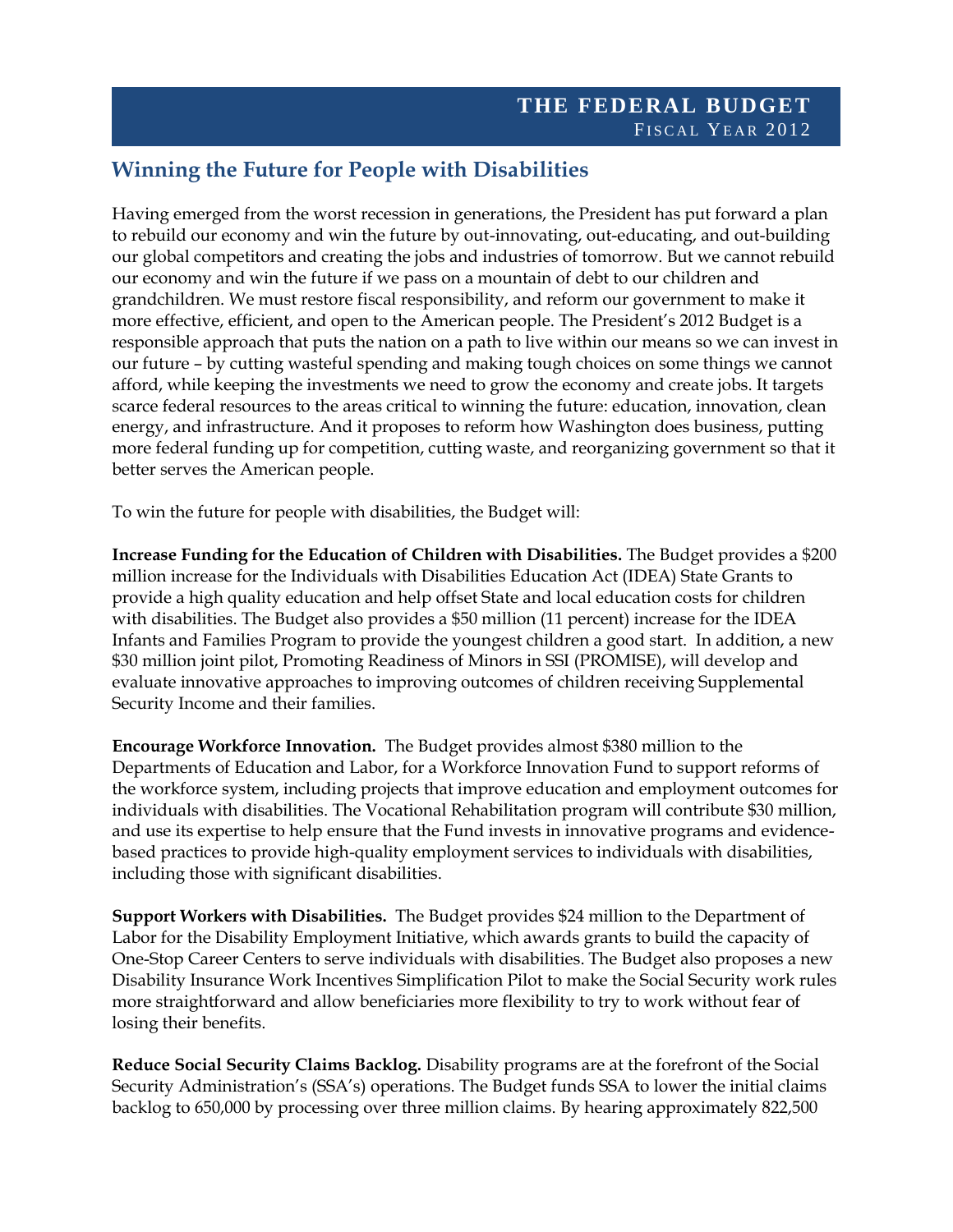## **Winning the Future for People with Disabilities**

Having emerged from the worst recession in generations, the President has put forward a plan to rebuild our economy and win the future by out-innovating, out-educating, and out-building our global competitors and creating the jobs and industries of tomorrow. But we cannot rebuild our economy and win the future if we pass on a mountain of debt to our children and grandchildren. We must restore fiscal responsibility, and reform our government to make it more effective, efficient, and open to the American people. The President's 2012 Budget is a responsible approach that puts the nation on a path to live within our means so we can invest in our future – by cutting wasteful spending and making tough choices on some things we cannot afford, while keeping the investments we need to grow the economy and create jobs. It targets scarce federal resources to the areas critical to winning the future: education, innovation, clean energy, and infrastructure. And it proposes to reform how Washington does business, putting more federal funding up for competition, cutting waste, and reorganizing government so that it better serves the American people.

To win the future for people with disabilities, the Budget will:

**Increase Funding for the Education of Children with Disabilities.** The Budget provides a \$200 million increase for the Individuals with Disabilities Education Act (IDEA) State Grants to provide a high quality education and help offset State and local education costs for children with disabilities. The Budget also provides a \$50 million (11 percent) increase for the IDEA Infants and Families Program to provide the youngest children a good start. In addition, a new \$30 million joint pilot, Promoting Readiness of Minors in SSI (PROMISE), will develop and evaluate innovative approaches to improving outcomes of children receiving Supplemental Security Income and their families.

**Encourage Workforce Innovation.** The Budget provides almost \$380 million to the Departments of Education and Labor, for a Workforce Innovation Fund to support reforms of the workforce system, including projects that improve education and employment outcomes for individuals with disabilities. The Vocational Rehabilitation program will contribute \$30 million, and use its expertise to help ensure that the Fund invests in innovative programs and evidencebased practices to provide high-quality employment services to individuals with disabilities, including those with significant disabilities.

**Support Workers with Disabilities.** The Budget provides \$24 million to the Department of Labor for the Disability Employment Initiative, which awards grants to build the capacity of One-Stop Career Centers to serve individuals with disabilities. The Budget also proposes a new Disability Insurance Work Incentives Simplification Pilot to make the Social Security work rules more straightforward and allow beneficiaries more flexibility to try to work without fear of losing their benefits.

**Reduce Social Security Claims Backlog.** Disability programs are at the forefront of the Social Security Administration's (SSA's) operations. The Budget funds SSA to lower the initial claims backlog to 650,000 by processing over three million claims. By hearing approximately 822,500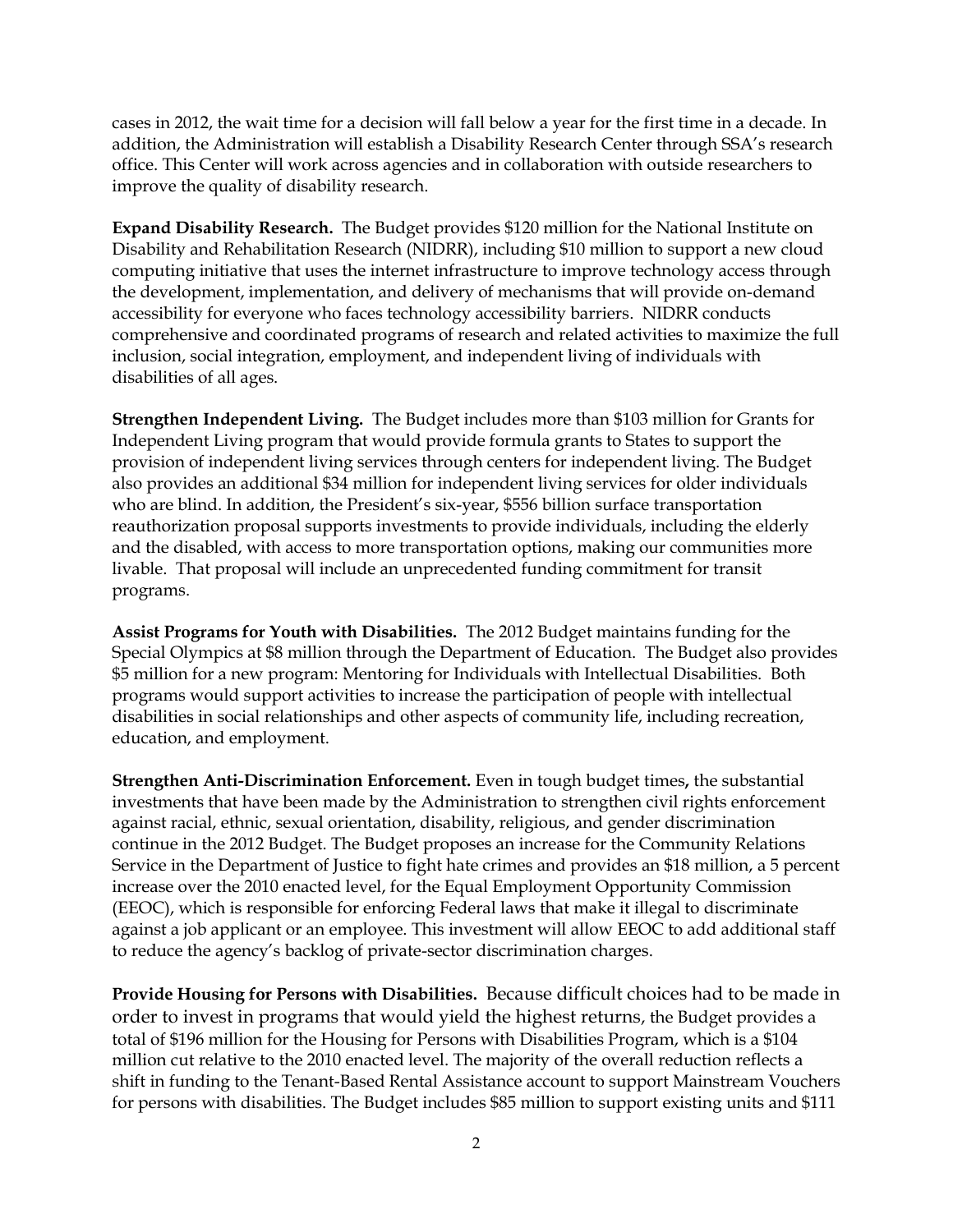cases in 2012, the wait time for a decision will fall below a year for the first time in a decade. In addition, the Administration will establish a Disability Research Center through SSA's research office. This Center will work across agencies and in collaboration with outside researchers to improve the quality of disability research.

**Expand Disability Research.** The Budget provides \$120 million for the National Institute on Disability and Rehabilitation Research (NIDRR), including \$10 million to support a new cloud computing initiative that uses the internet infrastructure to improve technology access through the development, implementation, and delivery of mechanisms that will provide on-demand accessibility for everyone who faces technology accessibility barriers. NIDRR conducts comprehensive and coordinated programs of research and related activities to maximize the full inclusion, social integration, employment, and independent living of individuals with disabilities of all ages.

**Strengthen Independent Living.** The Budget includes more than \$103 million for Grants for Independent Living program that would provide formula grants to States to support the provision of independent living services through centers for independent living. The Budget also provides an additional \$34 million for independent living services for older individuals who are blind. In addition, the President's six-year, \$556 billion surface transportation reauthorization proposal supports investments to provide individuals, including the elderly and the disabled, with access to more transportation options, making our communities more livable. That proposal will include an unprecedented funding commitment for transit programs.

**Assist Programs for Youth with Disabilities.** The 2012 Budget maintains funding for the Special Olympics at \$8 million through the Department of Education. The Budget also provides \$5 million for a new program: Mentoring for Individuals with Intellectual Disabilities. Both programs would support activities to increase the participation of people with intellectual disabilities in social relationships and other aspects of community life, including recreation, education, and employment.

**Strengthen Anti-Discrimination Enforcement.** Even in tough budget times**,** the substantial investments that have been made by the Administration to strengthen civil rights enforcement against racial, ethnic, sexual orientation, disability, religious, and gender discrimination continue in the 2012 Budget. The Budget proposes an increase for the Community Relations Service in the Department of Justice to fight hate crimes and provides an \$18 million, a 5 percent increase over the 2010 enacted level, for the Equal Employment Opportunity Commission (EEOC), which is responsible for enforcing Federal laws that make it illegal to discriminate against a job applicant or an employee. This investment will allow EEOC to add additional staff to reduce the agency's backlog of private-sector discrimination charges.

**Provide Housing for Persons with Disabilities.** Because difficult choices had to be made in order to invest in programs that would yield the highest returns, the Budget provides a total of \$196 million for the Housing for Persons with Disabilities Program, which is a \$104 million cut relative to the 2010 enacted level. The majority of the overall reduction reflects a shift in funding to the Tenant-Based Rental Assistance account to support Mainstream Vouchers for persons with disabilities. The Budget includes \$85 million to support existing units and \$111